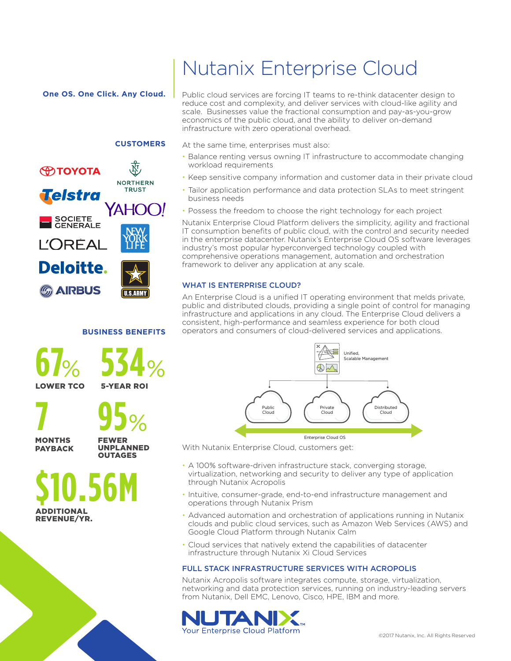**One OS. One Click. Any Cloud.**

### **CUSTOMERS**



#### **BUSINESS BENEFITS**

**67**% **534**% LOWER TCO 5-YEAR ROI

**7 95**%

MONTHS PAYBACK

FEWER UNPLANNED OUTAGES

**\$10.56M** ADDITIONAL REVENUE/YR.

# Nutanix Enterprise Cloud

Public cloud services are forcing IT teams to re-think datacenter design to reduce cost and complexity, and deliver services with cloud-like agility and scale. Businesses value the fractional consumption and pay-as-you-grow economics of the public cloud, and the ability to deliver on-demand infrastructure with zero operational overhead.

At the same time, enterprises must also:

- Balance renting versus owning IT infrastructure to accommodate changing workload requirements
- Keep sensitive company information and customer data in their private cloud
- Tailor application performance and data protection SLAs to meet stringent business needs
- Possess the freedom to choose the right technology for each project

Nutanix Enterprise Cloud Platform delivers the simplicity, agility and fractional IT consumption benefits of public cloud, with the control and security needed in the enterprise datacenter. Nutanix's Enterprise Cloud OS software leverages industry's most popular hyperconverged technology coupled with comprehensive operations management, automation and orchestration framework to deliver any application at any scale.

### WHAT IS ENTERPRISE CLOUD?

An Enterprise Cloud is a unified IT operating environment that melds private, public and distributed clouds, providing a single point of control for managing infrastructure and applications in any cloud. The Enterprise Cloud delivers a consistent, high-performance and seamless experience for both cloud operators and consumers of cloud-delivered services and applications.



With Nutanix Enterprise Cloud, customers get:

- A 100% software-driven infrastructure stack, converging storage, virtualization, networking and security to deliver any type of application through Nutanix Acropolis
- Intuitive, consumer-grade, end-to-end infrastructure management and operations through Nutanix Prism
- Advanced automation and orchestration of applications running in Nutanix clouds and public cloud services, such as Amazon Web Services (AWS) and Google Cloud Platform through Nutanix Calm
- Cloud services that natively extend the capabilities of datacenter infrastructure through Nutanix Xi Cloud Services

#### FULL STACK INFRASTRUCTURE SERVICES WITH ACROPOLIS

Nutanix Acropolis software integrates compute, storage, virtualization, networking and data protection services, running on industry-leading servers from Nutanix, Dell EMC, Lenovo, Cisco, HPE, IBM and more.